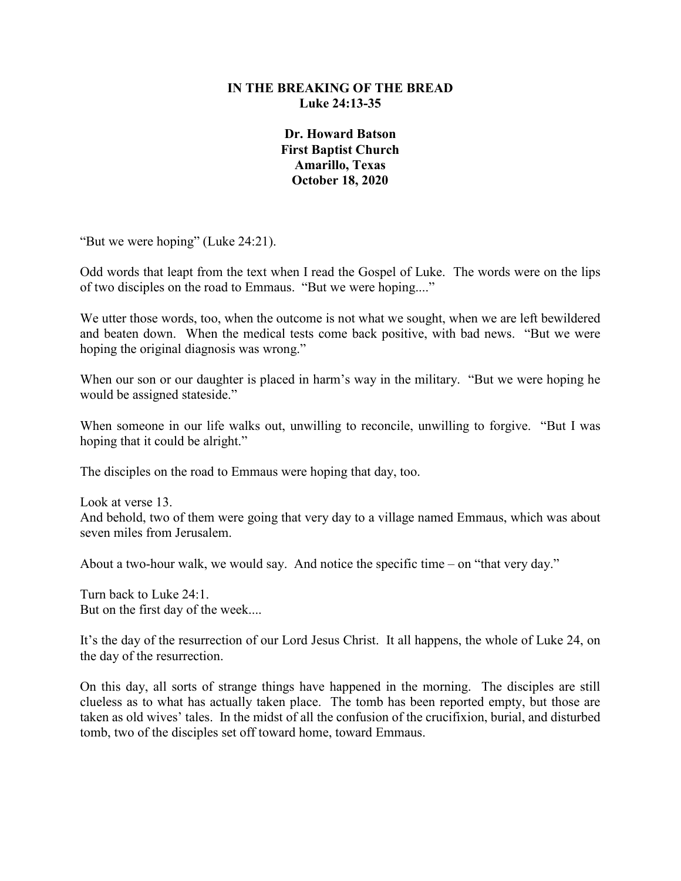## **IN THE BREAKING OF THE BREAD Luke 24:13-35**

**Dr. Howard Batson First Baptist Church Amarillo, Texas October 18, 2020**

"But we were hoping" (Luke 24:21).

Odd words that leapt from the text when I read the Gospel of Luke. The words were on the lips of two disciples on the road to Emmaus. "But we were hoping...."

We utter those words, too, when the outcome is not what we sought, when we are left bewildered and beaten down. When the medical tests come back positive, with bad news. "But we were hoping the original diagnosis was wrong."

When our son or our daughter is placed in harm's way in the military. "But we were hoping he would be assigned stateside."

When someone in our life walks out, unwilling to reconcile, unwilling to forgive. "But I was hoping that it could be alright."

The disciples on the road to Emmaus were hoping that day, too.

Look at verse 13. And behold, two of them were going that very day to a village named Emmaus, which was about seven miles from Jerusalem.

About a two-hour walk, we would say. And notice the specific time – on "that very day."

Turn back to Luke 24:1. But on the first day of the week....

It's the day of the resurrection of our Lord Jesus Christ. It all happens, the whole of Luke 24, on the day of the resurrection.

On this day, all sorts of strange things have happened in the morning. The disciples are still clueless as to what has actually taken place. The tomb has been reported empty, but those are taken as old wives' tales. In the midst of all the confusion of the crucifixion, burial, and disturbed tomb, two of the disciples set off toward home, toward Emmaus.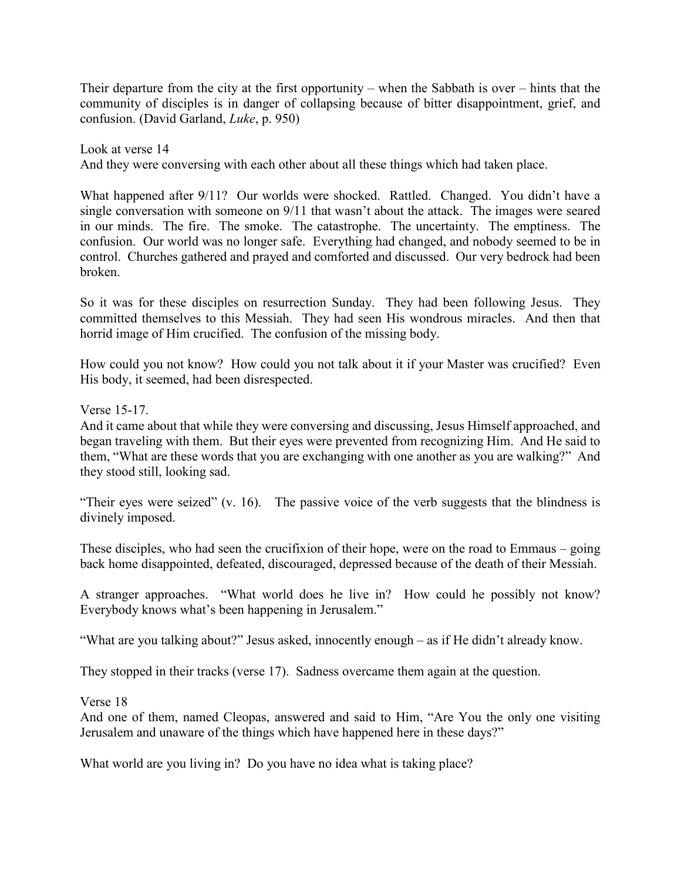Their departure from the city at the first opportunity – when the Sabbath is over – hints that the community of disciples is in danger of collapsing because of bitter disappointment, grief, and confusion. (David Garland, *Luke*, p. 950)

Look at verse 14 And they were conversing with each other about all these things which had taken place.

What happened after 9/11? Our worlds were shocked. Rattled. Changed. You didn't have a single conversation with someone on 9/11 that wasn't about the attack. The images were seared in our minds. The fire. The smoke. The catastrophe. The uncertainty. The emptiness. The confusion. Our world was no longer safe. Everything had changed, and nobody seemed to be in control. Churches gathered and prayed and comforted and discussed. Our very bedrock had been broken.

So it was for these disciples on resurrection Sunday. They had been following Jesus. They committed themselves to this Messiah. They had seen His wondrous miracles. And then that horrid image of Him crucified. The confusion of the missing body.

How could you not know? How could you not talk about it if your Master was crucified? Even His body, it seemed, had been disrespected.

Verse 15-17.

And it came about that while they were conversing and discussing, Jesus Himself approached, and began traveling with them. But their eyes were prevented from recognizing Him. And He said to them, "What are these words that you are exchanging with one another as you are walking?" And they stood still, looking sad.

"Their eyes were seized" (v. 16). The passive voice of the verb suggests that the blindness is divinely imposed.

These disciples, who had seen the crucifixion of their hope, were on the road to Emmaus – going back home disappointed, defeated, discouraged, depressed because of the death of their Messiah.

A stranger approaches. "What world does he live in? How could he possibly not know? Everybody knows what's been happening in Jerusalem."

"What are you talking about?" Jesus asked, innocently enough – as if He didn't already know.

They stopped in their tracks (verse 17). Sadness overcame them again at the question.

Verse 18

And one of them, named Cleopas, answered and said to Him, "Are You the only one visiting Jerusalem and unaware of the things which have happened here in these days?"

What world are you living in? Do you have no idea what is taking place?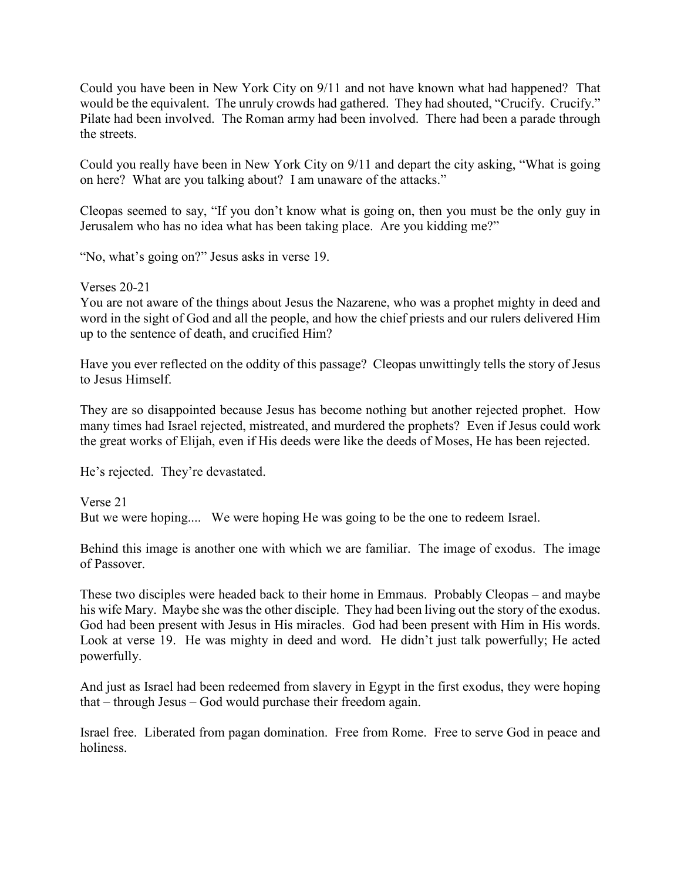Could you have been in New York City on 9/11 and not have known what had happened? That would be the equivalent. The unruly crowds had gathered. They had shouted, "Crucify. Crucify." Pilate had been involved. The Roman army had been involved. There had been a parade through the streets.

Could you really have been in New York City on 9/11 and depart the city asking, "What is going on here? What are you talking about? I am unaware of the attacks."

Cleopas seemed to say, "If you don't know what is going on, then you must be the only guy in Jerusalem who has no idea what has been taking place. Are you kidding me?"

"No, what's going on?" Jesus asks in verse 19.

Verses 20-21

You are not aware of the things about Jesus the Nazarene, who was a prophet mighty in deed and word in the sight of God and all the people, and how the chief priests and our rulers delivered Him up to the sentence of death, and crucified Him?

Have you ever reflected on the oddity of this passage? Cleopas unwittingly tells the story of Jesus to Jesus Himself.

They are so disappointed because Jesus has become nothing but another rejected prophet. How many times had Israel rejected, mistreated, and murdered the prophets? Even if Jesus could work the great works of Elijah, even if His deeds were like the deeds of Moses, He has been rejected.

He's rejected. They're devastated.

Verse 21 But we were hoping.... We were hoping He was going to be the one to redeem Israel.

Behind this image is another one with which we are familiar. The image of exodus. The image of Passover.

These two disciples were headed back to their home in Emmaus. Probably Cleopas – and maybe his wife Mary. Maybe she was the other disciple. They had been living out the story of the exodus. God had been present with Jesus in His miracles. God had been present with Him in His words. Look at verse 19. He was mighty in deed and word. He didn't just talk powerfully; He acted powerfully.

And just as Israel had been redeemed from slavery in Egypt in the first exodus, they were hoping that – through Jesus – God would purchase their freedom again.

Israel free. Liberated from pagan domination. Free from Rome. Free to serve God in peace and holiness.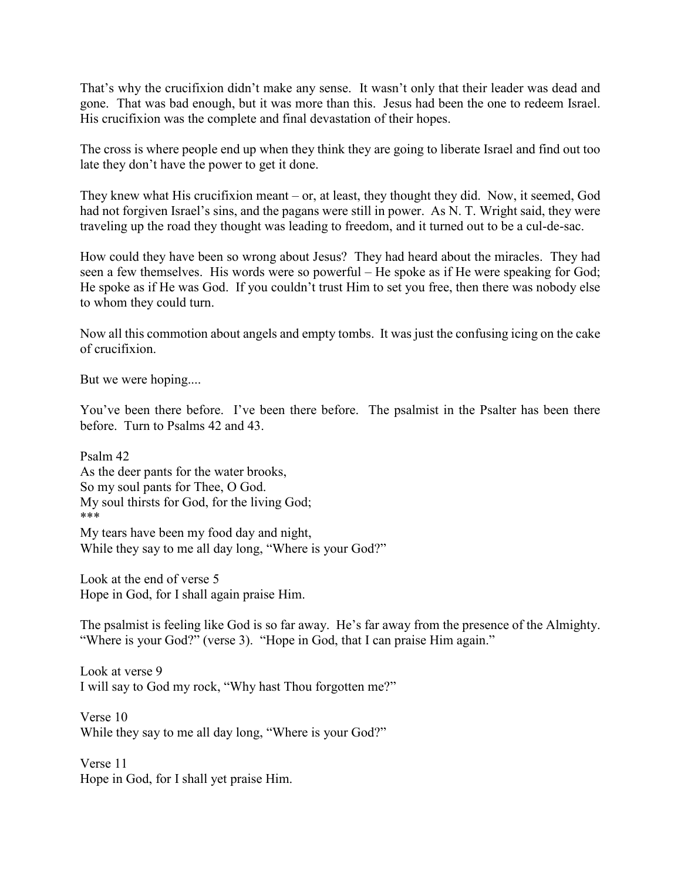That's why the crucifixion didn't make any sense. It wasn't only that their leader was dead and gone. That was bad enough, but it was more than this. Jesus had been the one to redeem Israel. His crucifixion was the complete and final devastation of their hopes.

The cross is where people end up when they think they are going to liberate Israel and find out too late they don't have the power to get it done.

They knew what His crucifixion meant – or, at least, they thought they did. Now, it seemed, God had not forgiven Israel's sins, and the pagans were still in power. As N. T. Wright said, they were traveling up the road they thought was leading to freedom, and it turned out to be a cul-de-sac.

How could they have been so wrong about Jesus? They had heard about the miracles. They had seen a few themselves. His words were so powerful – He spoke as if He were speaking for God; He spoke as if He was God. If you couldn't trust Him to set you free, then there was nobody else to whom they could turn.

Now all this commotion about angels and empty tombs. It was just the confusing icing on the cake of crucifixion.

But we were hoping....

You've been there before. I've been there before. The psalmist in the Psalter has been there before. Turn to Psalms 42 and 43.

Psalm 42 As the deer pants for the water brooks, So my soul pants for Thee, O God. My soul thirsts for God, for the living God; \*\*\*

My tears have been my food day and night, While they say to me all day long, "Where is your God?"

Look at the end of verse 5 Hope in God, for I shall again praise Him.

The psalmist is feeling like God is so far away. He's far away from the presence of the Almighty. "Where is your God?" (verse 3). "Hope in God, that I can praise Him again."

Look at verse 9 I will say to God my rock, "Why hast Thou forgotten me?"

Verse 10 While they say to me all day long, "Where is your God?"

Verse 11 Hope in God, for I shall yet praise Him.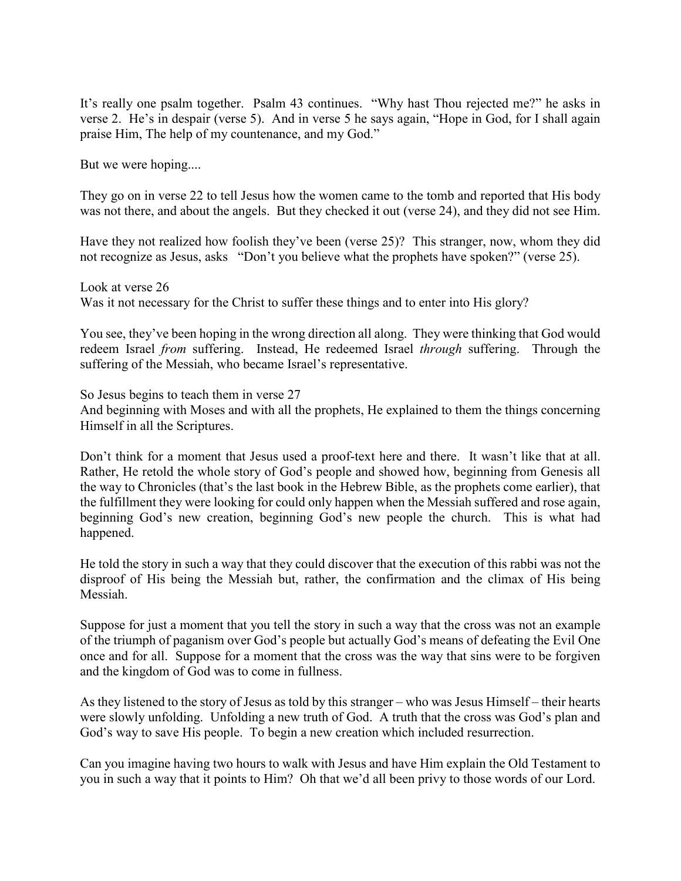It's really one psalm together. Psalm 43 continues. "Why hast Thou rejected me?" he asks in verse 2. He's in despair (verse 5). And in verse 5 he says again, "Hope in God, for I shall again praise Him, The help of my countenance, and my God."

But we were hoping....

They go on in verse 22 to tell Jesus how the women came to the tomb and reported that His body was not there, and about the angels. But they checked it out (verse 24), and they did not see Him.

Have they not realized how foolish they've been (verse 25)? This stranger, now, whom they did not recognize as Jesus, asks "Don't you believe what the prophets have spoken?" (verse 25).

Look at verse 26 Was it not necessary for the Christ to suffer these things and to enter into His glory?

You see, they've been hoping in the wrong direction all along. They were thinking that God would redeem Israel *from* suffering. Instead, He redeemed Israel *through* suffering. Through the suffering of the Messiah, who became Israel's representative.

So Jesus begins to teach them in verse 27

And beginning with Moses and with all the prophets, He explained to them the things concerning Himself in all the Scriptures.

Don't think for a moment that Jesus used a proof-text here and there. It wasn't like that at all. Rather, He retold the whole story of God's people and showed how, beginning from Genesis all the way to Chronicles (that's the last book in the Hebrew Bible, as the prophets come earlier), that the fulfillment they were looking for could only happen when the Messiah suffered and rose again, beginning God's new creation, beginning God's new people the church. This is what had happened.

He told the story in such a way that they could discover that the execution of this rabbi was not the disproof of His being the Messiah but, rather, the confirmation and the climax of His being Messiah.

Suppose for just a moment that you tell the story in such a way that the cross was not an example of the triumph of paganism over God's people but actually God's means of defeating the Evil One once and for all. Suppose for a moment that the cross was the way that sins were to be forgiven and the kingdom of God was to come in fullness.

As they listened to the story of Jesus as told by this stranger – who was Jesus Himself – their hearts were slowly unfolding. Unfolding a new truth of God. A truth that the cross was God's plan and God's way to save His people. To begin a new creation which included resurrection.

Can you imagine having two hours to walk with Jesus and have Him explain the Old Testament to you in such a way that it points to Him? Oh that we'd all been privy to those words of our Lord.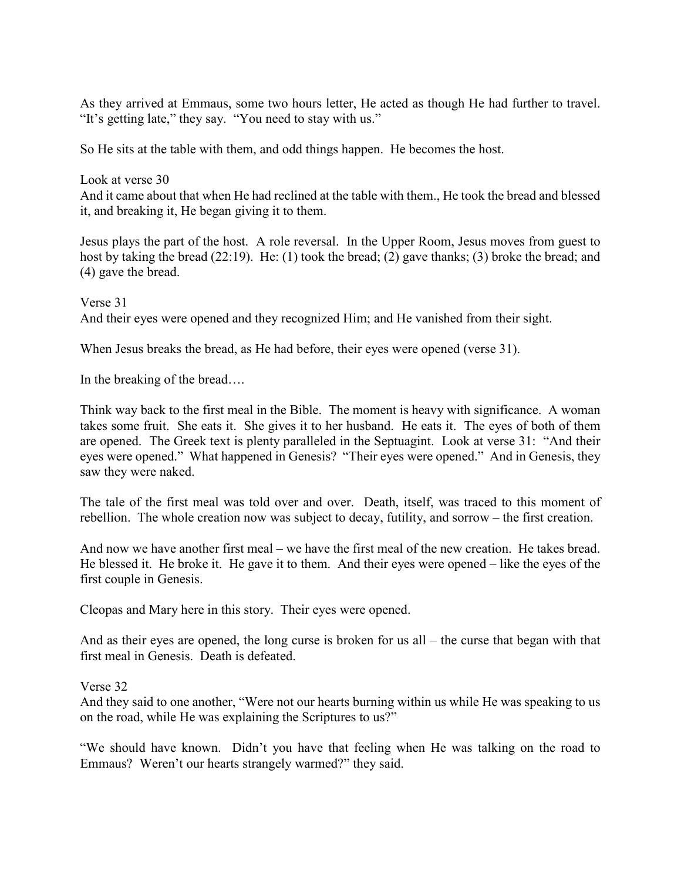As they arrived at Emmaus, some two hours letter, He acted as though He had further to travel. "It's getting late," they say. "You need to stay with us."

So He sits at the table with them, and odd things happen. He becomes the host.

Look at verse 30 And it came about that when He had reclined at the table with them., He took the bread and blessed it, and breaking it, He began giving it to them.

Jesus plays the part of the host. A role reversal. In the Upper Room, Jesus moves from guest to host by taking the bread (22:19). He: (1) took the bread; (2) gave thanks; (3) broke the bread; and (4) gave the bread.

Verse 31 And their eyes were opened and they recognized Him; and He vanished from their sight.

When Jesus breaks the bread, as He had before, their eyes were opened (verse 31).

In the breaking of the bread….

Think way back to the first meal in the Bible. The moment is heavy with significance. A woman takes some fruit. She eats it. She gives it to her husband. He eats it. The eyes of both of them are opened. The Greek text is plenty paralleled in the Septuagint. Look at verse 31: "And their eyes were opened." What happened in Genesis? "Their eyes were opened." And in Genesis, they saw they were naked.

The tale of the first meal was told over and over. Death, itself, was traced to this moment of rebellion. The whole creation now was subject to decay, futility, and sorrow – the first creation.

And now we have another first meal – we have the first meal of the new creation. He takes bread. He blessed it. He broke it. He gave it to them. And their eyes were opened – like the eyes of the first couple in Genesis.

Cleopas and Mary here in this story. Their eyes were opened.

And as their eyes are opened, the long curse is broken for us all – the curse that began with that first meal in Genesis. Death is defeated.

Verse 32

And they said to one another, "Were not our hearts burning within us while He was speaking to us on the road, while He was explaining the Scriptures to us?"

"We should have known. Didn't you have that feeling when He was talking on the road to Emmaus? Weren't our hearts strangely warmed?" they said.